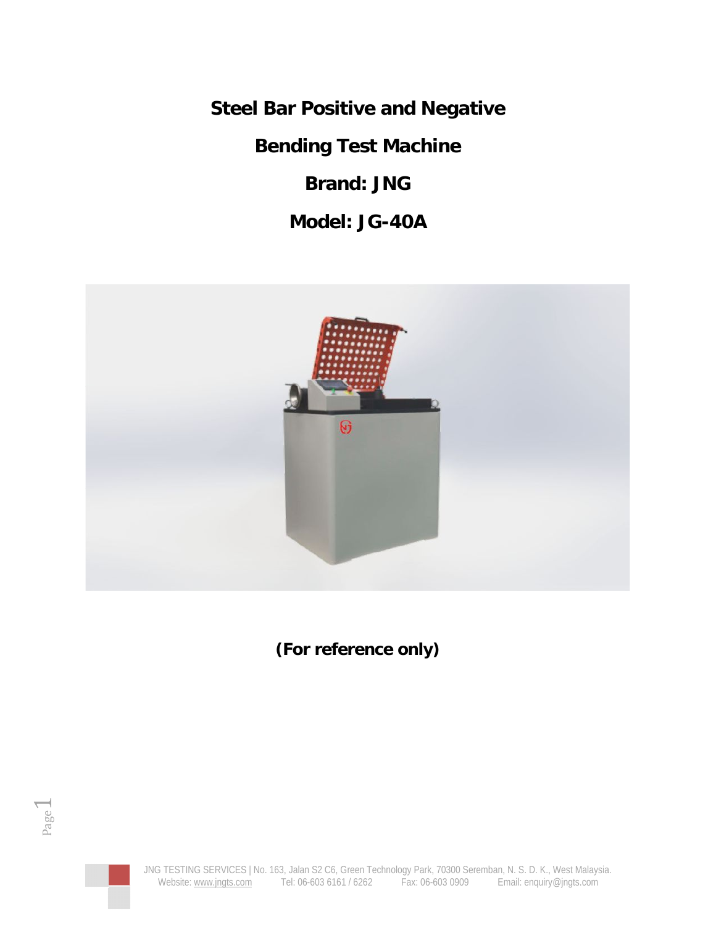**Steel Bar Positive and Negative**

**Bending Test Machine**

**Brand: JNG**

**Model: JG-40A**



**(For reference only)**



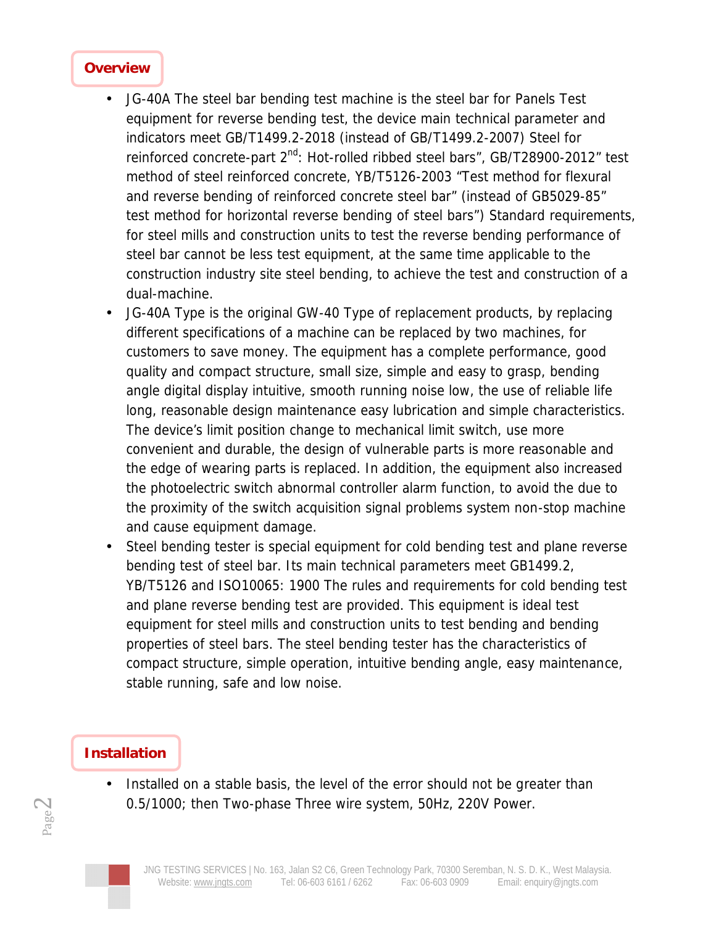#### **Overview**

- JG-40A The steel bar bending test machine is the steel bar for Panels Test equipment for reverse bending test, the device main technical parameter and indicators meet GB/T1499.2-2018 (instead of GB/T1499.2-2007) Steel for reinforced concrete-part 2<sup>nd</sup>: Hot-rolled ribbed steel bars", GB/T28900-2012" test method of steel reinforced concrete, YB/T5126-2003 "Test method for flexural and reverse bending of reinforced concrete steel bar" (instead of GB5029-85" test method for horizontal reverse bending of steel bars") Standard requirements, for steel mills and construction units to test the reverse bending performance of steel bar cannot be less test equipment, at the same time applicable to the construction industry site steel bending, to achieve the test and construction of a dual-machine.
- JG-40A Type is the original GW-40 Type of replacement products, by replacing different specifications of a machine can be replaced by two machines, for customers to save money. The equipment has a complete performance, good quality and compact structure, small size, simple and easy to grasp, bending angle digital display intuitive, smooth running noise low, the use of reliable life long, reasonable design maintenance easy lubrication and simple characteristics. The device's limit position change to mechanical limit switch, use more convenient and durable, the design of vulnerable parts is more reasonable and the edge of wearing parts is replaced. In addition, the equipment also increased the photoelectric switch abnormal controller alarm function, to avoid the due to the proximity of the switch acquisition signal problems system non-stop machine and cause equipment damage.
- Steel bending tester is special equipment for cold bending test and plane reverse bending test of steel bar. Its main technical parameters meet GB1499.2, YB/T5126 and ISO10065: 1900 The rules and requirements for cold bending test and plane reverse bending test are provided. This equipment is ideal test equipment for steel mills and construction units to test bending and bending properties of steel bars. The steel bending tester has the characteristics of compact structure, simple operation, intuitive bending angle, easy maintenance, stable running, safe and low noise.

## **Installation**

• Installed on a stable basis, the level of the error should not be greater than 0.5/1000; then Two-phase Three wire system, 50Hz, 220V Power.



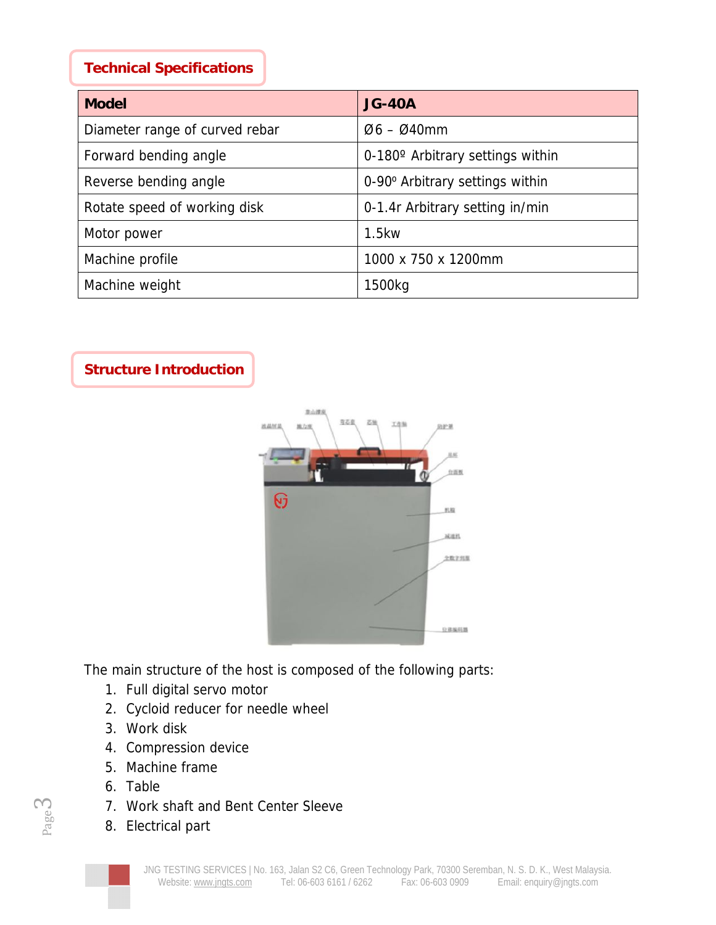#### **Technical Specifications**

| Model                          | $JG-40A$                                |
|--------------------------------|-----------------------------------------|
| Diameter range of curved rebar | $Ø6 - Ø40mm$                            |
| Forward bending angle          | $0-180^\circ$ Arbitrary settings within |
| Reverse bending angle          | 0-90° Arbitrary settings within         |
| Rotate speed of working disk   | 0-1.4r Arbitrary setting in/min         |
| Motor power                    | 1.5kw                                   |
| Machine profile                | 1000 x 750 x 1200mm                     |
| Machine weight                 | 1500kg                                  |

**Structure Introduction**



The main structure of the host is composed of the following parts:

- 1. Full digital servo motor
- 2. Cycloid reducer for needle wheel
- 3. Work disk
- 4. Compression device
- 5. Machine frame
- 6. Table
- 7. Work shaft and Bent Center Sleeve
- 8. Electrical part

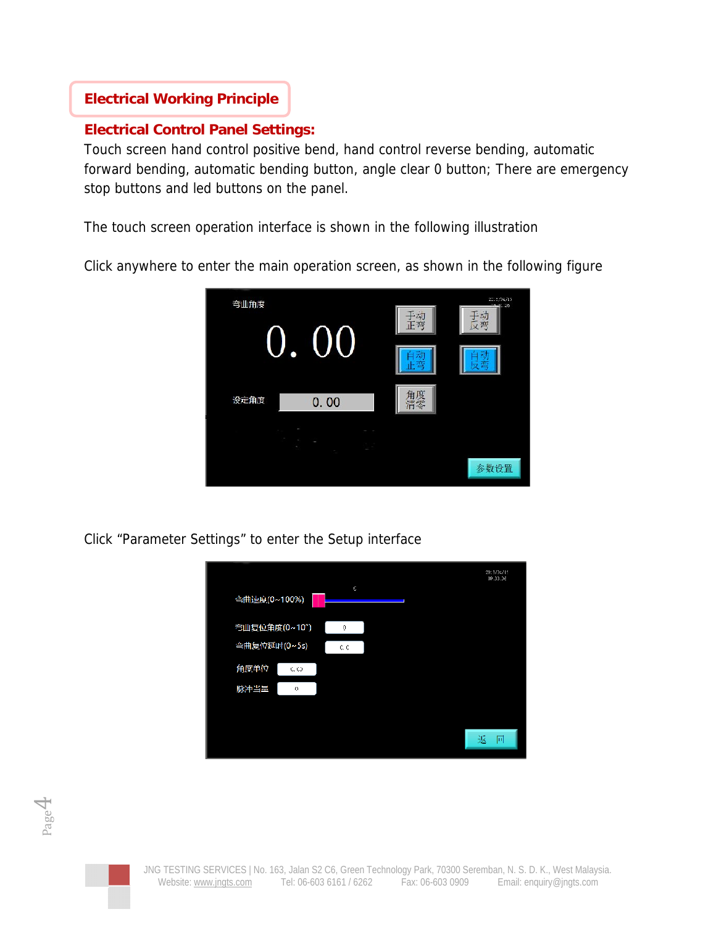## **Electrical Working Principle**

#### **Electrical Control Panel Settings:**

Touch screen hand control positive bend, hand control reverse bending, automatic forward bending, automatic bending button, angle clear 0 button; There are emergency stop buttons and led buttons on the panel.

The touch screen operation interface is shown in the following illustration

Click anywhere to enter the main operation screen, as shown in the following figure



Click "Parameter Settings" to enter the Setup interface



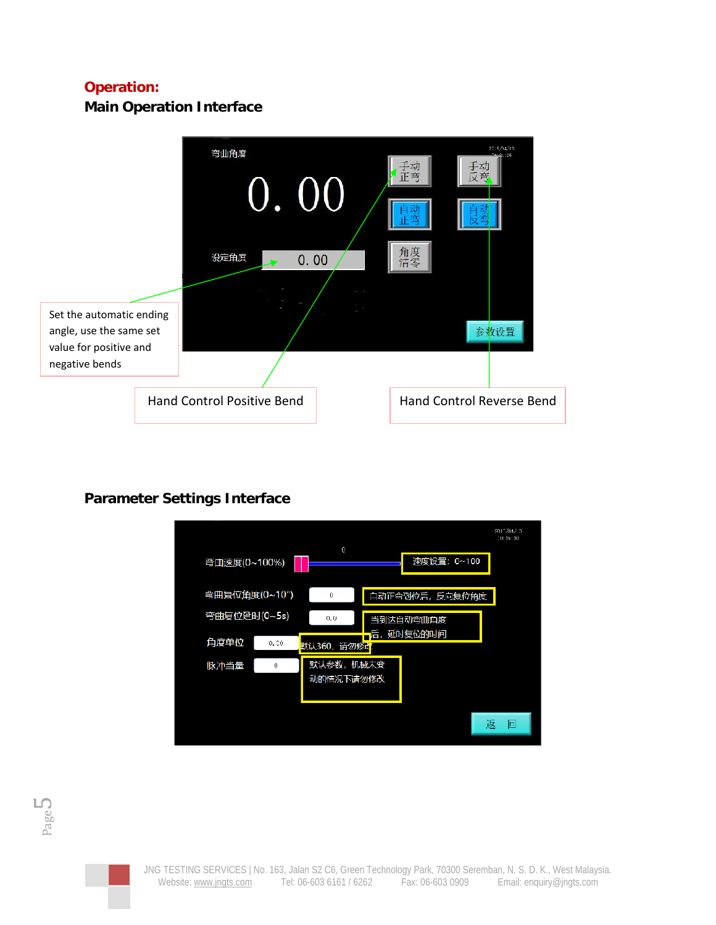# **Operation:**

**Main Operation Interface**



# **Parameter Settings Interface**



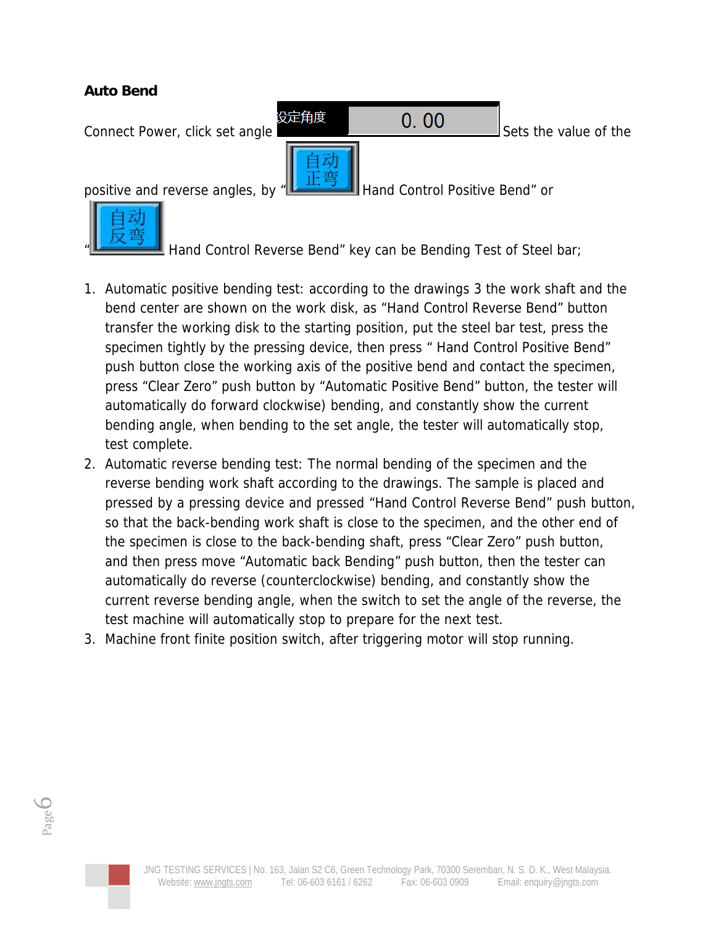**Auto Bend**





Hand Control Reverse Bend" key can be Bending Test of Steel bar;

- 1. Automatic positive bending test: according to the drawings 3 the work shaft and the bend center are shown on the work disk, as "Hand Control Reverse Bend" button transfer the working disk to the starting position, put the steel bar test, press the specimen tightly by the pressing device, then press " Hand Control Positive Bend" push button close the working axis of the positive bend and contact the specimen, press "Clear Zero" push button by "Automatic Positive Bend" button, the tester will automatically do forward clockwise) bending, and constantly show the current bending angle, when bending to the set angle, the tester will automatically stop, test complete.
- 2. Automatic reverse bending test: The normal bending of the specimen and the reverse bending work shaft according to the drawings. The sample is placed and pressed by a pressing device and pressed "Hand Control Reverse Bend" push button, so that the back-bending work shaft is close to the specimen, and the other end of the specimen is close to the back-bending shaft, press "Clear Zero" push button, and then press move "Automatic back Bending" push button, then the tester can automatically do reverse (counterclockwise) bending, and constantly show the current reverse bending angle, when the switch to set the angle of the reverse, the test machine will automatically stop to prepare for the next test.
- 3. Machine front finite position switch, after triggering motor will stop running.

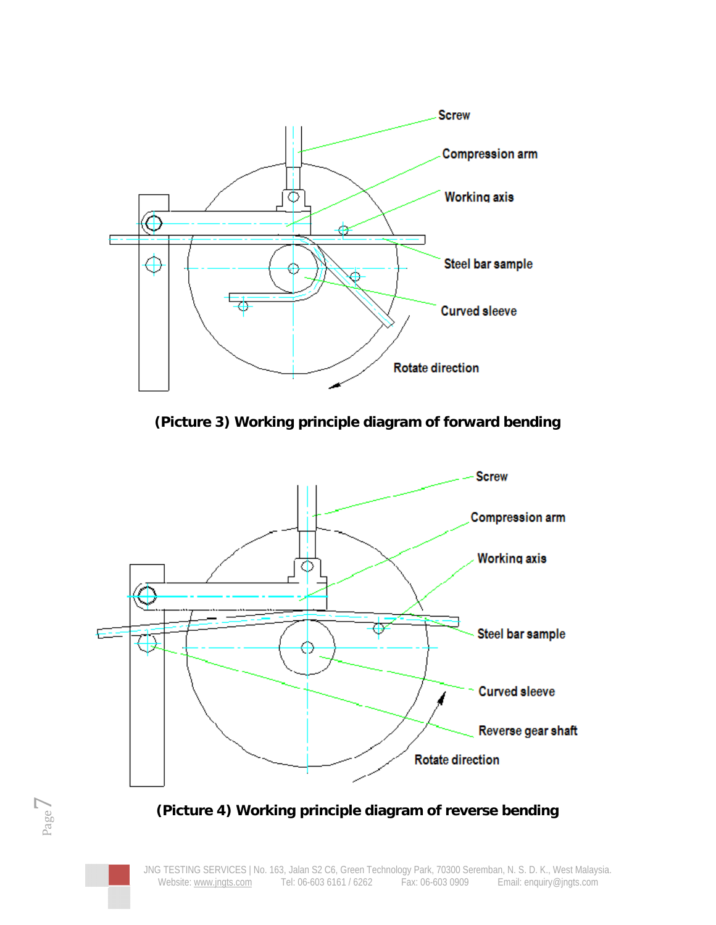

**(Picture 3) Working principle diagram of forward bending**